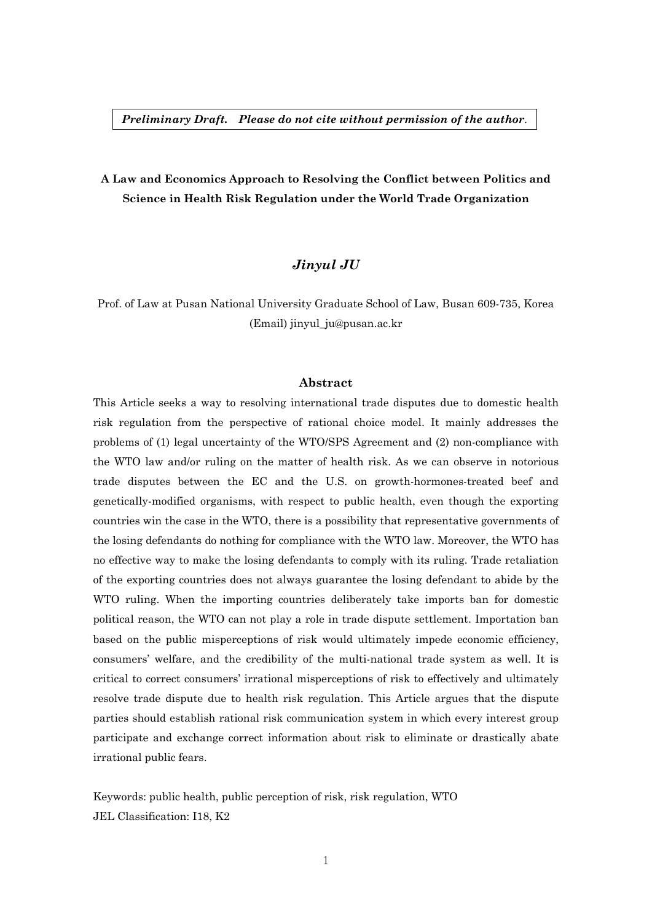# **A Law and Economics Approach to Resolving the Conflict between Politics and Science in Health Risk Regulation under the World Trade Organization**

# *Jinyul JU*

Prof. of Law at Pusan National University Graduate School of Law, Busan 609-735, Korea (Email) jinyul\_ju@pusan.ac.kr

#### **Abstract**

This Article seeks a way to resolving international trade disputes due to domestic health risk regulation from the perspective of rational choice model. It mainly addresses the problems of (1) legal uncertainty of the WTO/SPS Agreement and (2) non-compliance with the WTO law and/or ruling on the matter of health risk. As we can observe in notorious trade disputes between the EC and the U.S. on growth-hormones-treated beef and genetically-modified organisms, with respect to public health, even though the exporting countries win the case in the WTO, there is a possibility that representative governments of the losing defendants do nothing for compliance with the WTO law. Moreover, the WTO has no effective way to make the losing defendants to comply with its ruling. Trade retaliation of the exporting countries does not always guarantee the losing defendant to abide by the WTO ruling. When the importing countries deliberately take imports ban for domestic political reason, the WTO can not play a role in trade dispute settlement. Importation ban based on the public misperceptions of risk would ultimately impede economic efficiency, consumers' welfare, and the credibility of the multi-national trade system as well. It is critical to correct consumers' irrational misperceptions of risk to effectively and ultimately resolve trade dispute due to health risk regulation. This Article argues that the dispute parties should establish rational risk communication system in which every interest group participate and exchange correct information about risk to eliminate or drastically abate irrational public fears.

Keywords: public health, public perception of risk, risk regulation, WTO JEL Classification: I18, K2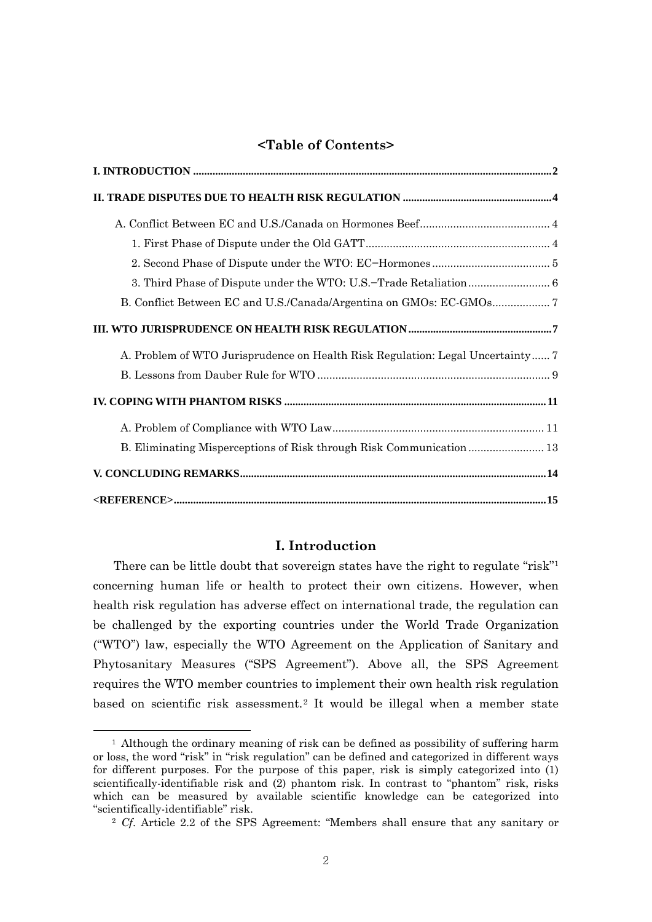# **<Table of Contents>**

| A. Problem of WTO Jurisprudence on Health Risk Regulation: Legal Uncertainty 7 |
|--------------------------------------------------------------------------------|
|                                                                                |
|                                                                                |
|                                                                                |
| B. Eliminating Misperceptions of Risk through Risk Communication 13            |
|                                                                                |
| $\langle REFERENCE > 15$                                                       |

# **I. Introduction**

There can be little doubt that sovereign states have the right to regulate "risk"1 concerning human life or health to protect their own citizens. However, when health risk regulation has adverse effect on international trade, the regulation can be challenged by the exporting countries under the World Trade Organization ("WTO") law, especially the WTO Agreement on the Application of Sanitary and Phytosanitary Measures ("SPS Agreement"). Above all, the SPS Agreement requires the WTO member countries to implement their own health risk regulation based on scientific risk assessment.2 It would be illegal when a member state

<sup>&</sup>lt;sup>1</sup> Although the ordinary meaning of risk can be defined as possibility of suffering harm or loss, the word "risk" in "risk regulation" can be defined and categorized in different ways for different purposes. For the purpose of this paper, risk is simply categorized into (1) scientifically-identifiable risk and (2) phantom risk. In contrast to "phantom" risk, risks which can be measured by available scientific knowledge can be categorized into "scientifically-identifiable" risk. 2 *Cf*. Article 2.2 of the SPS Agreement: "Members shall ensure that any sanitary or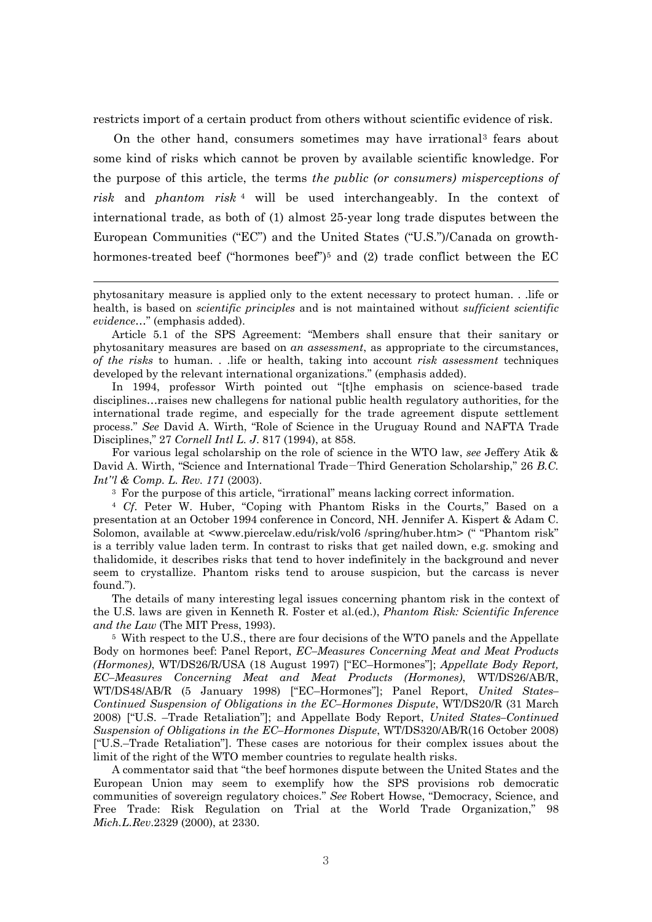restricts import of a certain product from others without scientific evidence of risk.

On the other hand, consumers sometimes may have irrational3 fears about some kind of risks which cannot be proven by available scientific knowledge. For the purpose of this article, the terms *the public (or consumers) misperceptions of risk* and *phantom risk* 4 will be used interchangeably. In the context of international trade, as both of (1) almost 25-year long trade disputes between the European Communities ("EC") and the United States ("U.S.")/Canada on growthhormones-treated beef ("hormones beef")<sup>5</sup> and (2) trade conflict between the EC

 $\overline{a}$ 

In 1994, professor Wirth pointed out "[t]he emphasis on science-based trade disciplines…raises new challegens for national public health regulatory authorities, for the international trade regime, and especially for the trade agreement dispute settlement process." *See* David A. Wirth, "Role of Science in the Uruguay Round and NAFTA Trade Disciplines," 27 *Cornell Intl L. J*. 817 (1994), at 858.

For various legal scholarship on the role of science in the WTO law, *see* Jeffery Atik & David A. Wirth, "Science and International Trade−Third Generation Scholarship," 26 *B.C. Int''l & Comp. L. Rev. 171* (2003).

3 For the purpose of this article, "irrational" means lacking correct information. 4 *Cf*. Peter W. Huber, "Coping with Phantom Risks in the Courts," Based on a presentation at an October 1994 conference in Concord, NH. Jennifer A. Kispert & Adam C. Solomon, available at <www.piercelaw.edu/risk/vol6 /spring/huber.htm> (" "Phantom risk" is a terribly value laden term. In contrast to risks that get nailed down, e.g. smoking and thalidomide, it describes risks that tend to hover indefinitely in the background and never seem to crystallize. Phantom risks tend to arouse suspicion, but the carcass is never found.").

The details of many interesting legal issues concerning phantom risk in the context of the U.S. laws are given in Kenneth R. Foster et al.(ed.), *Phantom Risk: Scientific Inference and the Law* (The MIT Press, 1993).

5 With respect to the U.S., there are four decisions of the WTO panels and the Appellate Body on hormones beef: Panel Report, *EC–Measures Concerning Meat and Meat Products (Hormones)*, WT/DS26/R/USA (18 August 1997) ["EC–Hormones"]; *Appellate Body Report, EC–Measures Concerning Meat and Meat Products (Hormones)*, WT/DS26/AB/R, WT/DS48/AB/R (5 January 1998) ["EC–Hormones"]; Panel Report, *United States– Continued Suspension of Obligations in the EC–Hormones Dispute*, WT/DS20/R (31 March 2008) ["U.S. –Trade Retaliation"]; and Appellate Body Report, *United States–Continued Suspension of Obligations in the EC–Hormones Dispute*, WT/DS320/AB/R(16 October 2008) ["U.S.–Trade Retaliation"]. These cases are notorious for their complex issues about the limit of the right of the WTO member countries to regulate health risks.

A commentator said that "the beef hormones dispute between the United States and the European Union may seem to exemplify how the SPS provisions rob democratic communities of sovereign regulatory choices." *See* Robert Howse, "Democracy, Science, and Free Trade: Risk Regulation on Trial at the World Trade Organization," 98 *Mich.L.Rev*.2329 (2000), at 2330.

phytosanitary measure is applied only to the extent necessary to protect human. . .life or health, is based on *scientific principles* and is not maintained without *sufficient scientific evidence*…" (emphasis added).

Article 5.1 of the SPS Agreement: "Members shall ensure that their sanitary or phytosanitary measures are based on *an assessment*, as appropriate to the circumstances, *of the risks* to human. . .life or health, taking into account *risk assessment* techniques developed by the relevant international organizations." (emphasis added).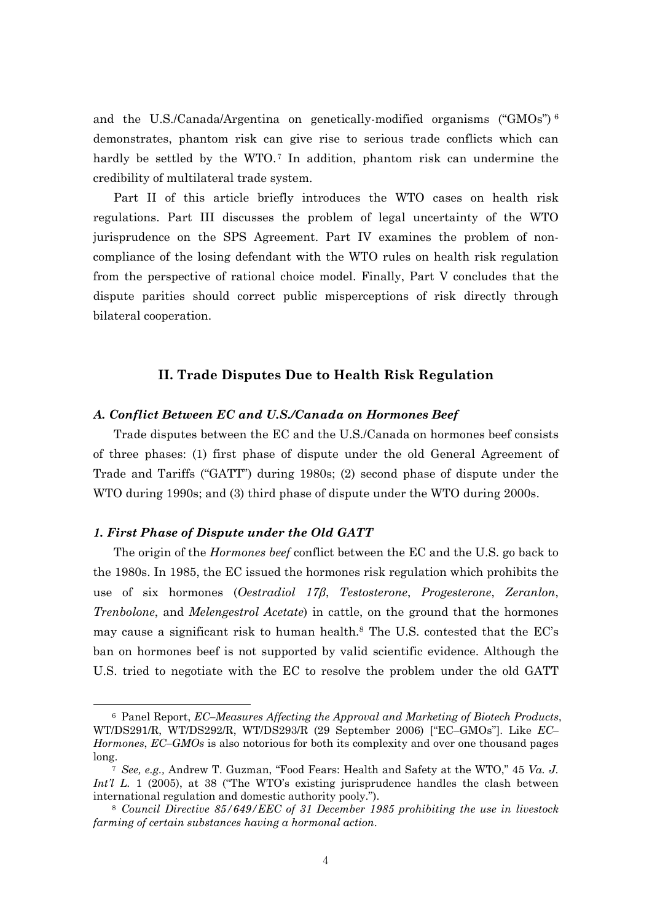and the U.S./Canada/Argentina on genetically-modified organisms ("GMOs")<sup>6</sup> demonstrates, phantom risk can give rise to serious trade conflicts which can hardly be settled by the WTO.<sup>7</sup> In addition, phantom risk can undermine the credibility of multilateral trade system.

Part II of this article briefly introduces the WTO cases on health risk regulations. Part III discusses the problem of legal uncertainty of the WTO jurisprudence on the SPS Agreement. Part IV examines the problem of noncompliance of the losing defendant with the WTO rules on health risk regulation from the perspective of rational choice model. Finally, Part V concludes that the dispute parities should correct public misperceptions of risk directly through bilateral cooperation.

## **II. Trade Disputes Due to Health Risk Regulation**

#### *A. Conflict Between EC and U.S./Canada on Hormones Beef*

Trade disputes between the EC and the U.S./Canada on hormones beef consists of three phases: (1) first phase of dispute under the old General Agreement of Trade and Tariffs ("GATT") during 1980s; (2) second phase of dispute under the WTO during 1990s; and (3) third phase of dispute under the WTO during 2000s.

## *1. First Phase of Dispute under the Old GATT*

 $\overline{a}$ 

The origin of the *Hormones beef* conflict between the EC and the U.S. go back to the 1980s. In 1985, the EC issued the hormones risk regulation which prohibits the use of six hormones (*Oestradiol 17β*, *Testosterone*, *Progesterone*, *Zeranlon*, *Trenbolone*, and *Melengestrol Acetate*) in cattle, on the ground that the hormones may cause a significant risk to human health.<sup>8</sup> The U.S. contested that the  $ECs$ ban on hormones beef is not supported by valid scientific evidence. Although the U.S. tried to negotiate with the EC to resolve the problem under the old GATT

<sup>6</sup> Panel Report, *EC–Measures Affecting the Approval and Marketing of Biotech Products*, WT/DS291/R, WT/DS292/R, WT/DS293/R (29 September 2006) ["EC–GMOs"]. Like *EC– Hormones*, *EC–GMOs* is also notorious for both its complexity and over one thousand pages long.

<sup>7</sup> *See, e.g.,* Andrew T. Guzman, "Food Fears: Health and Safety at the WTO," 45 *Va. J. Int'l L.* 1 (2005), at 38 ("The WTO's existing jurisprudence handles the clash between international regulation and domestic authority pooly.").

<sup>8</sup> *Council Directive 85/649/EEC of 31 December 1985 prohibiting the use in livestock farming of certain substances having a hormonal action*.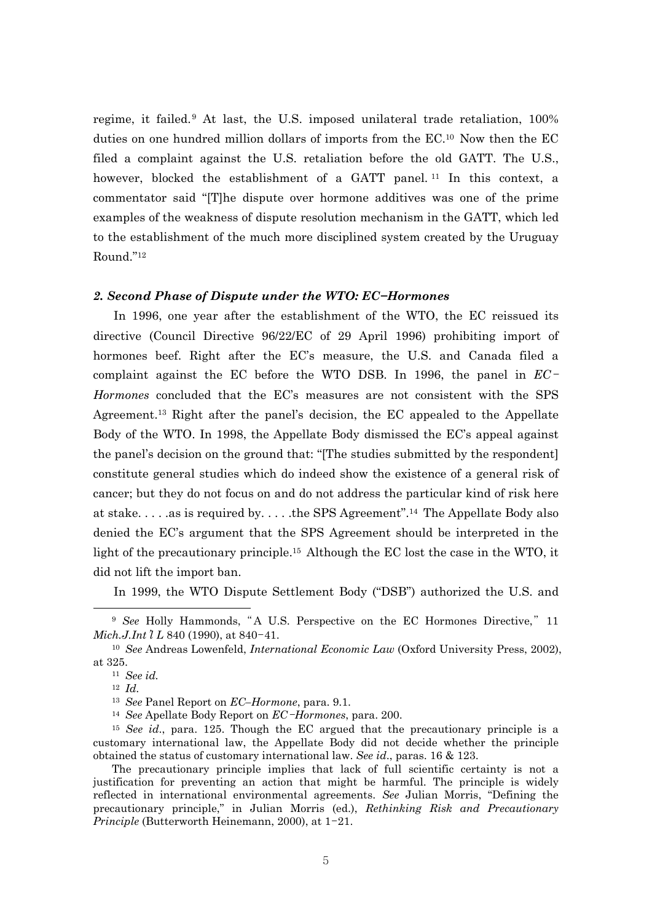regime, it failed.9 At last, the U.S. imposed unilateral trade retaliation, 100% duties on one hundred million dollars of imports from the EC.10 Now then the EC filed a complaint against the U.S. retaliation before the old GATT. The U.S., however, blocked the establishment of a GATT panel.<sup>11</sup> In this context, a commentator said "[T]he dispute over hormone additives was one of the prime examples of the weakness of dispute resolution mechanism in the GATT, which led to the establishment of the much more disciplined system created by the Uruguay Round."12

#### *2. Second Phase of Dispute under the WTO: EC−Hormones*

In 1996, one year after the establishment of the WTO, the EC reissued its directive (Council Directive 96/22/EC of 29 April 1996) prohibiting import of hormones beef. Right after the EC's measure, the U.S. and Canada filed a complaint against the EC before the WTO DSB. In 1996, the panel in *EC*-*Hormones* concluded that the EC's measures are not consistent with the SPS Agreement.13 Right after the panel's decision, the EC appealed to the Appellate Body of the WTO. In 1998, the Appellate Body dismissed the EC's appeal against the panel's decision on the ground that: "[The studies submitted by the respondent] constitute general studies which do indeed show the existence of a general risk of cancer; but they do not focus on and do not address the particular kind of risk here at stake. . . . .as is required by. . . . .the SPS Agreement".14 The Appellate Body also denied the EC's argument that the SPS Agreement should be interpreted in the light of the precautionary principle.15 Although the EC lost the case in the WTO, it did not lift the import ban.

In 1999, the WTO Dispute Settlement Body ("DSB") authorized the U.S. and

 $\overline{\phantom{a}}$ 

<sup>9</sup> *See* Holly Hammonds, "A U.S. Perspective on the EC Hormones Directive," 11 *Mich.J.Int*'*l L* 840 (1990), at 840-41.

<sup>10</sup> *See* Andreas Lowenfeld, *International Economic Law* (Oxford University Press, 2002), at 325. 11 *See id.* 

<sup>12</sup> *Id.*<sup>13</sup> *See* Panel Report on *EC–Hormone*, para. 9.1. 14 *See* Apellate Body Report on *EC*-*Hormones*, para. 200.

<sup>15</sup> *See id*., para. 125. Though the EC argued that the precautionary principle is a customary international law, the Appellate Body did not decide whether the principle obtained the status of customary international law. *See id*., paras. 16 & 123.

The precautionary principle implies that lack of full scientific certainty is not a justification for preventing an action that might be harmful. The principle is widely reflected in international environmental agreements. *See* Julian Morris, "Defining the precautionary principle," in Julian Morris (ed.), *Rethinking Risk and Precautionary Principle* (Butterworth Heinemann, 2000), at 1-21.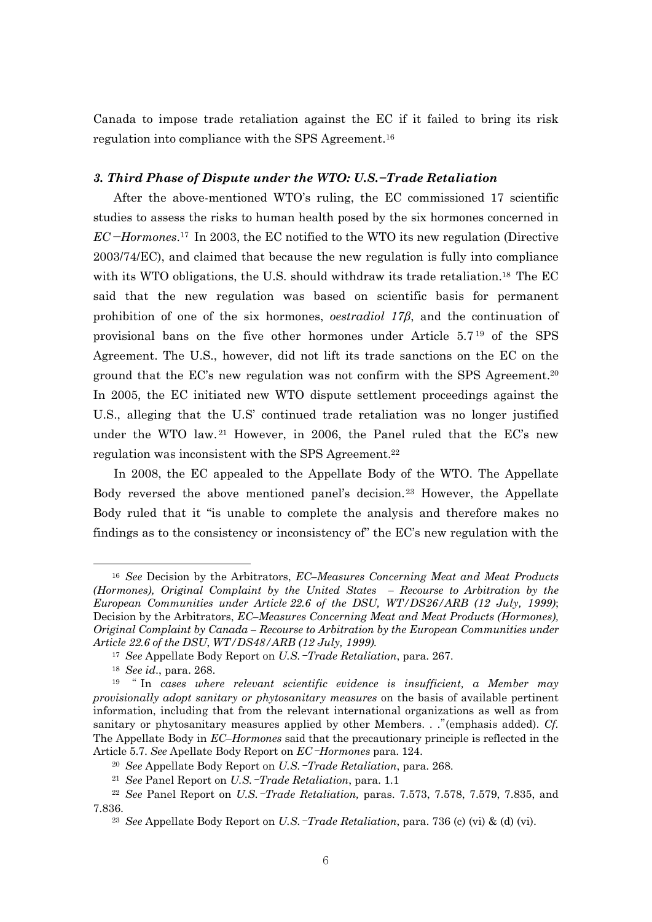Canada to impose trade retaliation against the EC if it failed to bring its risk regulation into compliance with the SPS Agreement.16

#### *3. Third Phase of Dispute under the WTO: U.S.−Trade Retaliation*

After the above-mentioned WTO's ruling, the EC commissioned 17 scientific studies to assess the risks to human health posed by the six hormones concerned in *EC*−*Hormones*.17 In 2003, the EC notified to the WTO its new regulation (Directive 2003/74/EC), and claimed that because the new regulation is fully into compliance with its WTO obligations, the U.S. should withdraw its trade retaliation.<sup>18</sup> The EC said that the new regulation was based on scientific basis for permanent prohibition of one of the six hormones, *oestradiol 17β*, and the continuation of provisional bans on the five other hormones under Article 5.7 19 of the SPS Agreement. The U.S., however, did not lift its trade sanctions on the EC on the ground that the EC's new regulation was not confirm with the SPS Agreement.20 In 2005, the EC initiated new WTO dispute settlement proceedings against the U.S., alleging that the U.S' continued trade retaliation was no longer justified under the WTO law. 21 However, in 2006, the Panel ruled that the EC's new regulation was inconsistent with the SPS Agreement.<sup>22</sup>

In 2008, the EC appealed to the Appellate Body of the WTO. The Appellate Body reversed the above mentioned panel's decision.23 However, the Appellate Body ruled that it "is unable to complete the analysis and therefore makes no findings as to the consistency or inconsistency of" the EC's new regulation with the

<sup>16</sup> *See* Decision by the Arbitrators, *EC–Measures Concerning Meat and Meat Products (Hormones), Original Complaint by the United States – Recourse to Arbitration by the European Communities under Article 22.6 of the DSU, WT/DS26/ARB (12 July, 1999)*; Decision by the Arbitrators, *EC–Measures Concerning Meat and Meat Products (Hormones), Original Complaint by Canada – Recourse to Arbitration by the European Communities under Article 22.6 of the DSU*, *WT/DS48/ARB (12 July, 1999).*

<sup>17</sup> *See* Appellate Body Report on *U.S.*-*Trade Retaliation*, para. 267.

<sup>18</sup> *See id*., para. 268.

<sup>19</sup> " In *cases where relevant scientific evidence is insufficient, a Member may provisionally adopt sanitary or phytosanitary measures* on the basis of available pertinent information, including that from the relevant international organizations as well as from sanitary or phytosanitary measures applied by other Members. . ."(emphasis added). *Cf.*  The Appellate Body in *EC–Hormones* said that the precautionary principle is reflected in the Article 5.7. *See* Apellate Body Report on *EC*-*Hormones* para. 124.

<sup>20</sup> *See* Appellate Body Report on *U.S.*-*Trade Retaliation*, para. 268.

<sup>21</sup> *See* Panel Report on *U.S.*-*Trade Retaliation*, para. 1.1

<sup>22</sup> *See* Panel Report on *U.S.*-*Trade Retaliation,* paras. 7.573, 7.578, 7.579, 7.835, and 7.836.

<sup>23</sup> *See* Appellate Body Report on *U.S.*-*Trade Retaliation*, para. 736 (c) (vi) & (d) (vi).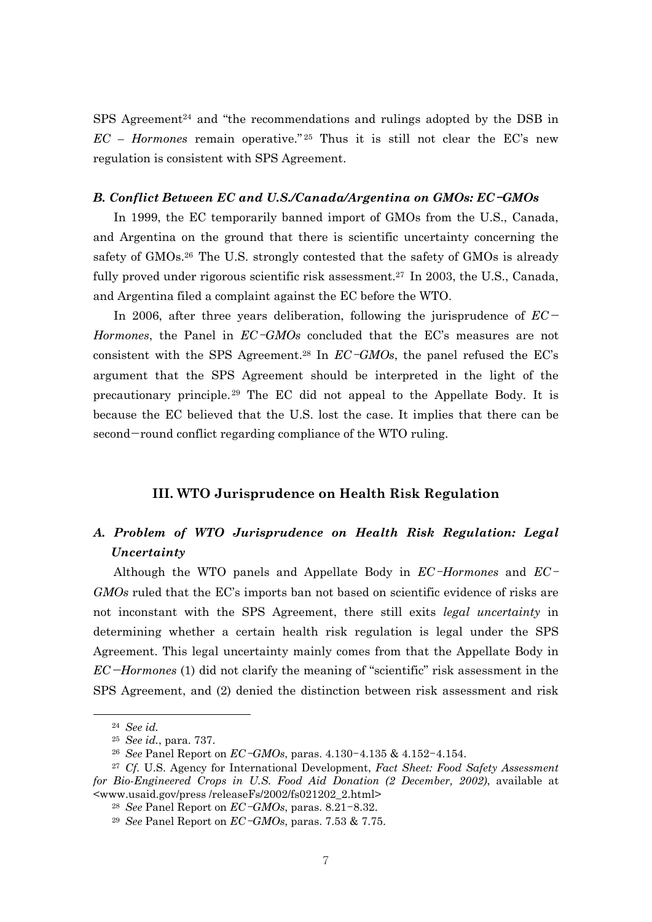SPS Agreement<sup>24</sup> and "the recommendations and rulings adopted by the DSB in  $EC$  – *Hormones* remain operative.<sup>"25</sup> Thus it is still not clear the EC's new regulation is consistent with SPS Agreement.

#### *B. Conflict Between EC and U.S./Canada/Argentina on GMOs: EC*-*GMOs*

In 1999, the EC temporarily banned import of GMOs from the U.S., Canada, and Argentina on the ground that there is scientific uncertainty concerning the safety of GMOs.<sup>26</sup> The U.S. strongly contested that the safety of GMOs is already fully proved under rigorous scientific risk assessment.<sup>27</sup> In 2003, the U.S., Canada, and Argentina filed a complaint against the EC before the WTO.

In 2006, after three years deliberation, following the jurisprudence of *EC*<sup>−</sup> *Hormones*, the Panel in *EC*-*GMOs* concluded that the EC's measures are not consistent with the SPS Agreement.28 In *EC*-*GMOs*, the panel refused the EC's argument that the SPS Agreement should be interpreted in the light of the precautionary principle. 29 The EC did not appeal to the Appellate Body. It is because the EC believed that the U.S. lost the case. It implies that there can be second−round conflict regarding compliance of the WTO ruling.

## **III. WTO Jurisprudence on Health Risk Regulation**

# *A. Problem of WTO Jurisprudence on Health Risk Regulation: Legal Uncertainty*

Although the WTO panels and Appellate Body in *EC*-*Hormones* and *EC*-*GMOs* ruled that the EC's imports ban not based on scientific evidence of risks are not inconstant with the SPS Agreement, there still exits *legal uncertainty* in determining whether a certain health risk regulation is legal under the SPS Agreement. This legal uncertainty mainly comes from that the Appellate Body in *EC*−*Hormones* (1) did not clarify the meaning of "scientific" risk assessment in the SPS Agreement, and (2) denied the distinction between risk assessment and risk

<sup>24</sup> *See id.* 

<sup>25</sup> *See id.*, para. 737.

<sup>26</sup> *See* Panel Report on *EC*-*GMOs*, paras. 4.130-4.135 & 4.152-4.154.

<sup>27</sup> *Cf.* U.S. Agency for International Development, *Fact Sheet: Food Safety Assessment for Bio-Engineered Crops in U.S. Food Aid Donation (2 December, 2002)*, available at <www.usaid.gov/press /releaseFs/2002/fs021202\_2.html>

<sup>28</sup> *See* Panel Report on *EC*-*GMOs*, paras. 8.21-8.32.

<sup>29</sup> *See* Panel Report on *EC*-*GMOs*, paras. 7.53 & 7.75.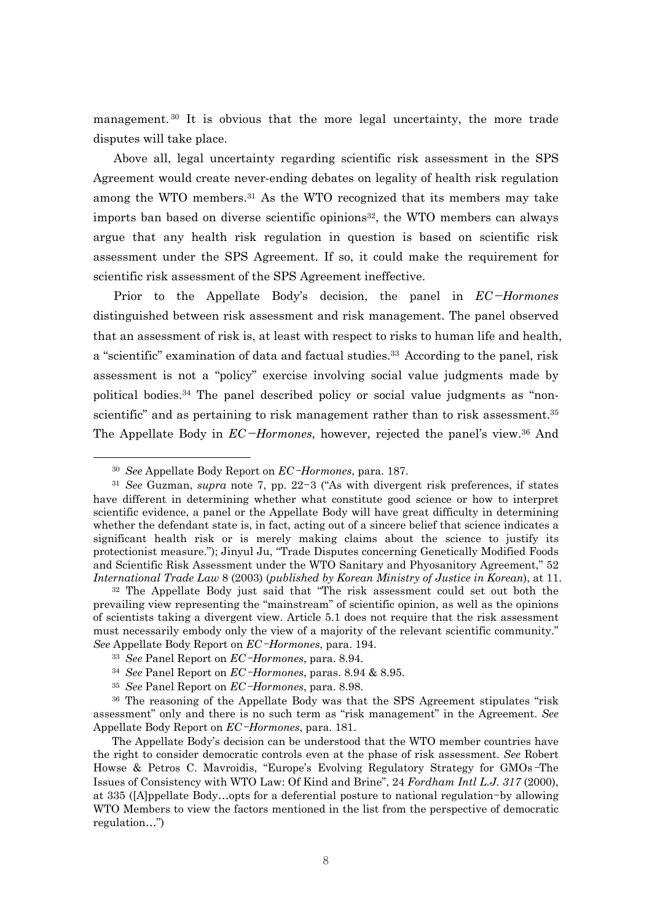management. 30 It is obvious that the more legal uncertainty, the more trade disputes will take place.

Above all, legal uncertainty regarding scientific risk assessment in the SPS Agreement would create never-ending debates on legality of health risk regulation among the WTO members.31 As the WTO recognized that its members may take imports ban based on diverse scientific opinions<sup>32</sup>, the WTO members can always argue that any health risk regulation in question is based on scientific risk assessment under the SPS Agreement. If so, it could make the requirement for scientific risk assessment of the SPS Agreement ineffective.

Prior to the Appellate Body's decision, the panel in *EC*−*Hormones* distinguished between risk assessment and risk management. The panel observed that an assessment of risk is, at least with respect to risks to human life and health, a "scientific" examination of data and factual studies.<sup>33</sup> According to the panel, risk assessment is not a "policy" exercise involving social value judgments made by political bodies.34 The panel described policy or social value judgments as "nonscientific" and as pertaining to risk management rather than to risk assessment.<sup>35</sup> The Appellate Body in *EC*−*Hormones*, however, rejected the panel's view.36 And

<sup>30</sup> *See* Appellate Body Report on *EC*-*Hormones*, para. 187.

<sup>31</sup> *See* Guzman, *supra* note 7, pp. 22-3 ("As with divergent risk preferences, if states have different in determining whether what constitute good science or how to interpret scientific evidence, a panel or the Appellate Body will have great difficulty in determining whether the defendant state is, in fact, acting out of a sincere belief that science indicates a significant health risk or is merely making claims about the science to justify its protectionist measure."); Jinyul Ju, "Trade Disputes concerning Genetically Modified Foods and Scientific Risk Assessment under the WTO Sanitary and Phyosanitory Agreement," 52 *International Trade Law* 8 (2003) (*published by Korean Ministry of Justice in Korean*), at 11.

<sup>32</sup> The Appellate Body just said that "The risk assessment could set out both the prevailing view representing the "mainstream" of scientific opinion, as well as the opinions of scientists taking a divergent view. Article 5.1 does not require that the risk assessment must necessarily embody only the view of a majority of the relevant scientific community." *See* Appellate Body Report on *EC*-*Hormones*, para. 194.

<sup>33</sup> *See* Panel Report on *EC*-*Hormones*, para. 8.94.

<sup>34</sup> *See* Panel Report on *EC*-*Hormones*, paras. 8.94 & 8.95.

<sup>35</sup> *See* Panel Report on *EC*-*Hormones*, para. 8.98.

<sup>&</sup>lt;sup>36</sup> The reasoning of the Appellate Body was that the SPS Agreement stipulates "risk" assessment" only and there is no such term as "risk management" in the Agreement. *See* Appellate Body Report on *EC*-*Hormones*, para. 181.

The Appellate Body's decision can be understood that the WTO member countries have the right to consider democratic controls even at the phase of risk assessment. *See* Robert Howse & Petros C. Mavroidis, "Europe's Evolving Regulatory Strategy for GMOs-The Issues of Consistency with WTO Law: Of Kind and Brine", 24 *Fordham Intl L.J. 317* (2000), at 335 ([A]ppellate Body…opts for a deferential posture to national regulation-by allowing WTO Members to view the factors mentioned in the list from the perspective of democratic regulation…")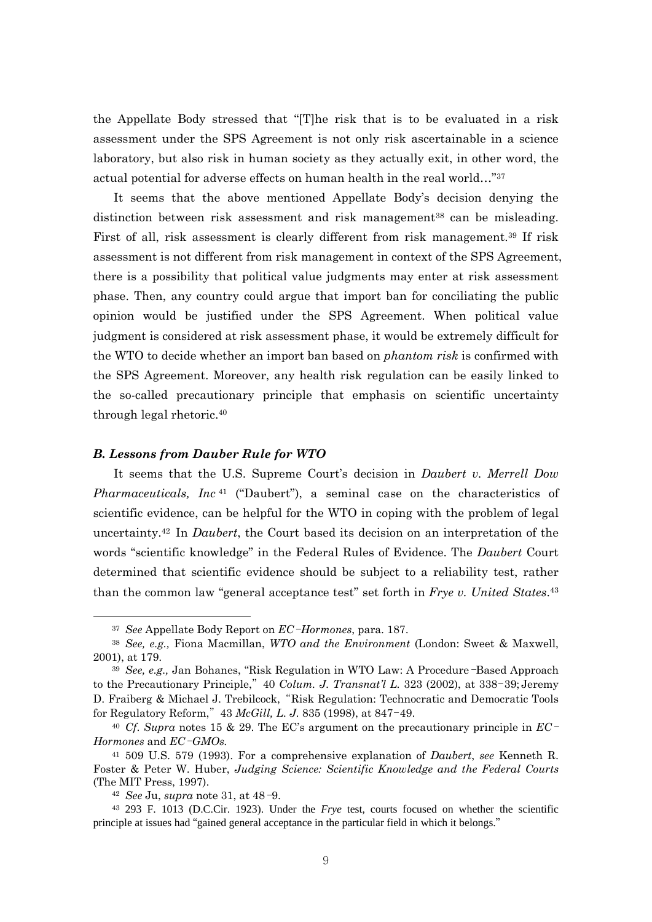the Appellate Body stressed that "[T]he risk that is to be evaluated in a risk assessment under the SPS Agreement is not only risk ascertainable in a science laboratory, but also risk in human society as they actually exit, in other word, the actual potential for adverse effects on human health in the real world…"37

It seems that the above mentioned Appellate Body's decision denying the distinction between risk assessment and risk management<sup>38</sup> can be misleading. First of all, risk assessment is clearly different from risk management.39 If risk assessment is not different from risk management in context of the SPS Agreement, there is a possibility that political value judgments may enter at risk assessment phase. Then, any country could argue that import ban for conciliating the public opinion would be justified under the SPS Agreement. When political value judgment is considered at risk assessment phase, it would be extremely difficult for the WTO to decide whether an import ban based on *phantom risk* is confirmed with the SPS Agreement. Moreover, any health risk regulation can be easily linked to the so-called precautionary principle that emphasis on scientific uncertainty through legal rhetoric.40

#### *B. Lessons from Dauber Rule for WTO*

It seems that the U.S. Supreme Court's decision in *Daubert v. Merrell Dow Pharmaceuticals, Inc* 41 ("Daubert"), a seminal case on the characteristics of scientific evidence, can be helpful for the WTO in coping with the problem of legal uncertainty.42 In *Daubert*, the Court based its decision on an interpretation of the words "scientific knowledge" in the Federal Rules of Evidence. The *Daubert* Court determined that scientific evidence should be subject to a reliability test, rather than the common law "general acceptance test" set forth in *Frye v. United States*.43

<sup>37</sup> *See* Appellate Body Report on *EC*-*Hormones*, para. 187.

<sup>38</sup> *See, e.g.,* Fiona Macmillan, *WTO and the Environment* (London: Sweet & Maxwell, 2001), at 179.

<sup>39</sup> *See, e.g.,* Jan Bohanes, "Risk Regulation in WTO Law: A Procedure-Based Approach to the Precautionary Principle," 40 *Colum. J. Transnat'l L.* 323 (2002), at 338-39; Jeremy D. Fraiberg & Michael J. Trebilcock, "Risk Regulation: Technocratic and Democratic Tools for Regulatory Reform," 43 *McGill, L. J.* 835 (1998), at 847-49.

<sup>40</sup> *Cf*. *Supra* notes 15 & 29. The EC's argument on the precautionary principle in *EC*-*Hormones* and *EC*-*GMOs.*

<sup>41 509</sup> U.S. 579 (1993). For a comprehensive explanation of *Daubert*, *see* Kenneth R. Foster & Peter W. Huber, *Judging Science: Scientific Knowledge and the Federal Courts*  (The MIT Press, 1997). 42 *See* Ju, *supra* note 31, at 48-9.

<sup>43</sup> 293 F. 1013 (D.C.Cir. 1923). Under the *Frye* test, courts focused on whether the scientific principle at issues had "gained general acceptance in the particular field in which it belongs."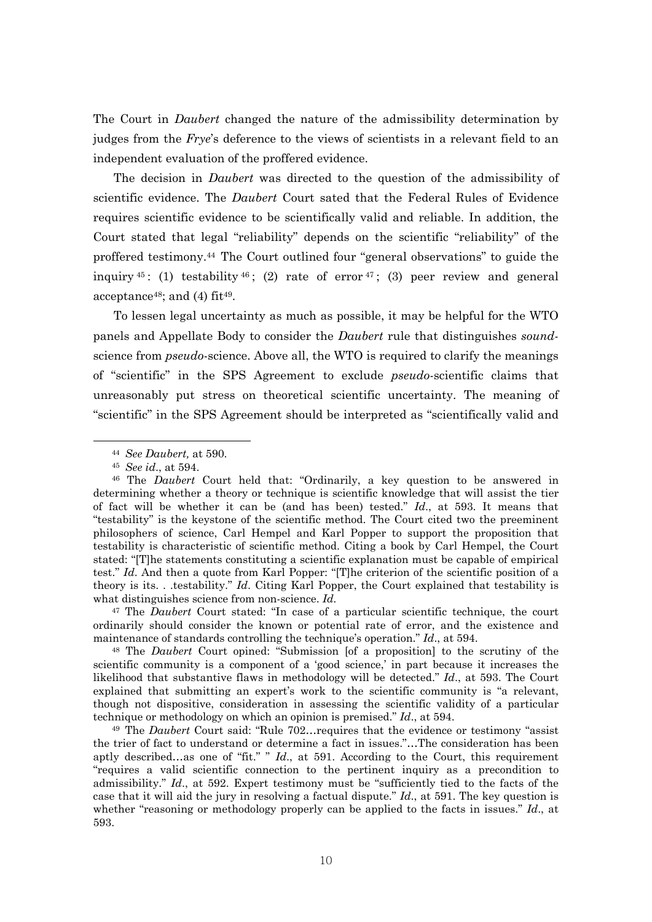The Court in *Daubert* changed the nature of the admissibility determination by judges from the *Frye*'s deference to the views of scientists in a relevant field to an independent evaluation of the proffered evidence.

The decision in *Daubert* was directed to the question of the admissibility of scientific evidence. The *Daubert* Court sated that the Federal Rules of Evidence requires scientific evidence to be scientifically valid and reliable. In addition, the Court stated that legal "reliability" depends on the scientific "reliability" of the proffered testimony.44 The Court outlined four "general observations" to guide the inquiry  $45$ : (1) testability  $46$ ; (2) rate of error  $47$ ; (3) peer review and general acceptance<sup>48</sup>; and (4) fit<sup>49</sup>.

To lessen legal uncertainty as much as possible, it may be helpful for the WTO panels and Appellate Body to consider the *Daubert* rule that distinguishes *sound*science from *pseudo*-science. Above all, the WTO is required to clarify the meanings of "scientific" in the SPS Agreement to exclude *pseudo*-scientific claims that unreasonably put stress on theoretical scientific uncertainty. The meaning of "scientific" in the SPS Agreement should be interpreted as "scientifically valid and

 $\overline{a}$ 

47 The *Daubert* Court stated: "In case of a particular scientific technique, the court ordinarily should consider the known or potential rate of error, and the existence and maintenance of standards controlling the technique's operation." *Id*., at 594.

48 The *Daubert* Court opined: "Submission [of a proposition] to the scrutiny of the scientific community is a component of a 'good science,' in part because it increases the likelihood that substantive flaws in methodology will be detected." *Id*., at 593. The Court explained that submitting an expert's work to the scientific community is "a relevant, though not dispositive, consideration in assessing the scientific validity of a particular technique or methodology on which an opinion is premised." *Id*., at 594.

49 The *Daubert* Court said: "Rule 702…requires that the evidence or testimony "assist the trier of fact to understand or determine a fact in issues."…The consideration has been aptly described…as one of "fit." " *Id*., at 591. According to the Court, this requirement "requires a valid scientific connection to the pertinent inquiry as a precondition to admissibility." *Id*., at 592. Expert testimony must be "sufficiently tied to the facts of the case that it will aid the jury in resolving a factual dispute." *Id*., at 591. The key question is whether "reasoning or methodology properly can be applied to the facts in issues." *Id*., at 593.

<sup>44</sup> *See Daubert,* at 590.

<sup>45</sup> *See id*., at 594.

<sup>46</sup> The *Daubert* Court held that: "Ordinarily, a key question to be answered in determining whether a theory or technique is scientific knowledge that will assist the tier of fact will be whether it can be (and has been) tested." *Id*., at 593. It means that "testability" is the keystone of the scientific method. The Court cited two the preeminent philosophers of science, Carl Hempel and Karl Popper to support the proposition that testability is characteristic of scientific method. Citing a book by Carl Hempel, the Court stated: "[T]he statements constituting a scientific explanation must be capable of empirical test." *Id*. And then a quote from Karl Popper: "[T]he criterion of the scientific position of a theory is its. . .testability." *Id*. Citing Karl Popper, the Court explained that testability is what distinguishes science from non-science. *Id.*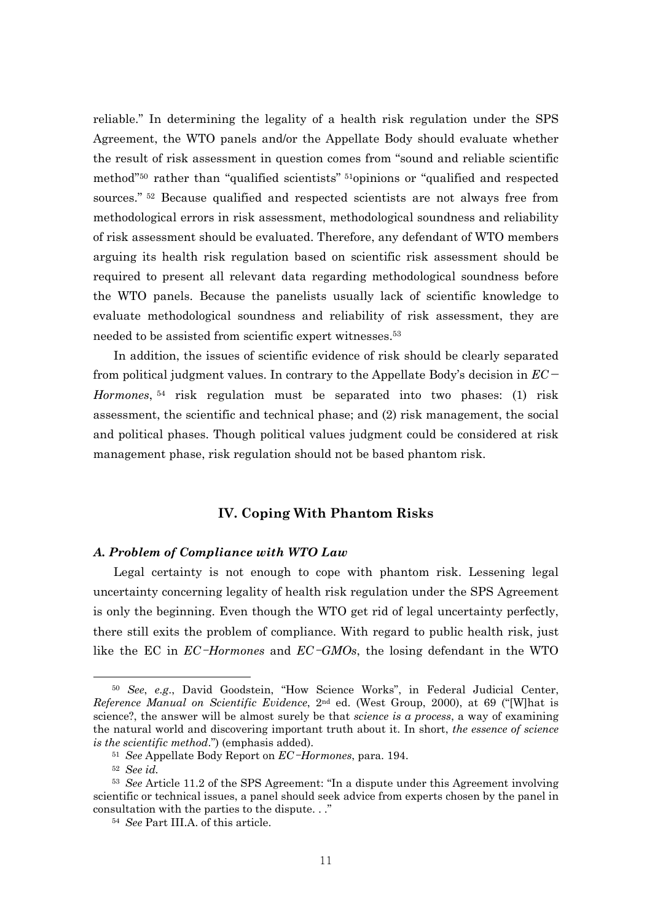reliable." In determining the legality of a health risk regulation under the SPS Agreement, the WTO panels and/or the Appellate Body should evaluate whether the result of risk assessment in question comes from "sound and reliable scientific method"50 rather than "qualified scientists" 51opinions or "qualified and respected sources." <sup>52</sup> Because qualified and respected scientists are not always free from methodological errors in risk assessment, methodological soundness and reliability of risk assessment should be evaluated. Therefore, any defendant of WTO members arguing its health risk regulation based on scientific risk assessment should be required to present all relevant data regarding methodological soundness before the WTO panels. Because the panelists usually lack of scientific knowledge to evaluate methodological soundness and reliability of risk assessment, they are needed to be assisted from scientific expert witnesses.53

In addition, the issues of scientific evidence of risk should be clearly separated from political judgment values. In contrary to the Appellate Body's decision in *EC*<sup>−</sup> *Hormones*, 54 risk regulation must be separated into two phases: (1) risk assessment, the scientific and technical phase; and (2) risk management, the social and political phases. Though political values judgment could be considered at risk management phase, risk regulation should not be based phantom risk.

## **IV. Coping With Phantom Risks**

#### *A. Problem of Compliance with WTO Law*

Legal certainty is not enough to cope with phantom risk. Lessening legal uncertainty concerning legality of health risk regulation under the SPS Agreement is only the beginning. Even though the WTO get rid of legal uncertainty perfectly, there still exits the problem of compliance. With regard to public health risk, just like the EC in *EC*-*Hormones* and *EC*-*GMOs*, the losing defendant in the WTO

<sup>50</sup> *See*, *e.g*., David Goodstein, "How Science Works", in Federal Judicial Center, *Reference Manual on Scientific Evidence*, 2nd ed. (West Group, 2000), at 69 ("[W]hat is science?, the answer will be almost surely be that *science is a process*, a way of examining the natural world and discovering important truth about it. In short, *the essence of science is the scientific method*.") (emphasis added).

<sup>51</sup> *See* Appellate Body Report on *EC*-*Hormones*, para. 194.

<sup>52</sup> *See id.*

<sup>53</sup> *See* Article 11.2 of the SPS Agreement: "In a dispute under this Agreement involving scientific or technical issues, a panel should seek advice from experts chosen by the panel in consultation with the parties to the dispute. . ."

<sup>54</sup> *See* Part III.A. of this article.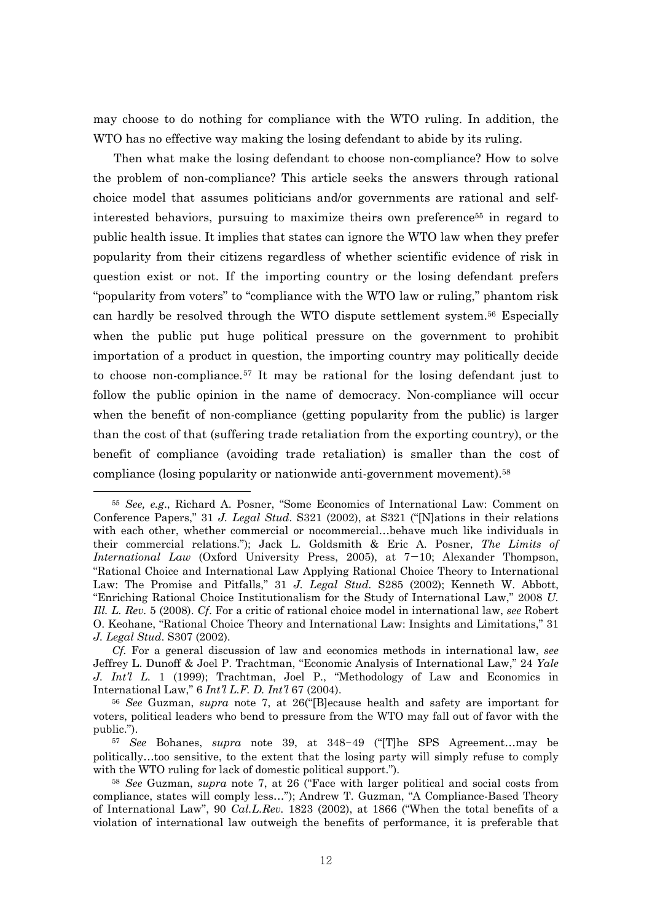may choose to do nothing for compliance with the WTO ruling. In addition, the WTO has no effective way making the losing defendant to abide by its ruling.

Then what make the losing defendant to choose non-compliance? How to solve the problem of non-compliance? This article seeks the answers through rational choice model that assumes politicians and/or governments are rational and selfinterested behaviors, pursuing to maximize theirs own preference55 in regard to public health issue. It implies that states can ignore the WTO law when they prefer popularity from their citizens regardless of whether scientific evidence of risk in question exist or not. If the importing country or the losing defendant prefers "popularity from voters" to "compliance with the WTO law or ruling," phantom risk can hardly be resolved through the WTO dispute settlement system.56 Especially when the public put huge political pressure on the government to prohibit importation of a product in question, the importing country may politically decide to choose non-compliance.57 It may be rational for the losing defendant just to follow the public opinion in the name of democracy. Non-compliance will occur when the benefit of non-compliance (getting popularity from the public) is larger than the cost of that (suffering trade retaliation from the exporting country), or the benefit of compliance (avoiding trade retaliation) is smaller than the cost of compliance (losing popularity or nationwide anti-government movement).58

<sup>55</sup> *See, e.g*., Richard A. Posner, "Some Economics of International Law: Comment on Conference Papers," 31 *J. Legal Stud*. S321 (2002), at S321 ("[N]ations in their relations with each other, whether commercial or nocommercial…behave much like individuals in their commercial relations."); Jack L. Goldsmith & Eric A. Posner, *The Limits of International Law* (Oxford University Press, 2005), at 7−10; Alexander Thompson, "Rational Choice and International Law Applying Rational Choice Theory to International Law: The Promise and Pitfalls," 31 *J. Legal Stud.* S285 (2002); Kenneth W. Abbott, "Enriching Rational Choice Institutionalism for the Study of International Law," 2008 *U. Ill. L. Rev.* 5 (2008). *Cf*. For a critic of rational choice model in international law, *see* Robert O. Keohane, "Rational Choice Theory and International Law: Insights and Limitations," 31 *J. Legal Stud*. S307 (2002).

*Cf.* For a general discussion of law and economics methods in international law, *see* Jeffrey L. Dunoff & Joel P. Trachtman, "Economic Analysis of International Law," 24 *Yale J. Int'l L.* 1 (1999); Trachtman, Joel P., "Methodology of Law and Economics in International Law," 6 *Int'l L.F. D. Int'l* 67 (2004).

<sup>56</sup> *See* Guzman, *supra* note 7, at 26("[B]ecause health and safety are important for voters, political leaders who bend to pressure from the WTO may fall out of favor with the public.").

<sup>57</sup> *See* Bohanes, *supra* note 39, at 348-49 ("[T]he SPS Agreement…may be politically…too sensitive, to the extent that the losing party will simply refuse to comply with the WTO ruling for lack of domestic political support.").

<sup>58</sup> *See* Guzman, *supra* note 7, at 26 ("Face with larger political and social costs from compliance, states will comply less…"); Andrew T. Guzman, "A Compliance-Based Theory of International Law", 90 *Cal.L.Rev.* 1823 (2002), at 1866 ("When the total benefits of a violation of international law outweigh the benefits of performance, it is preferable that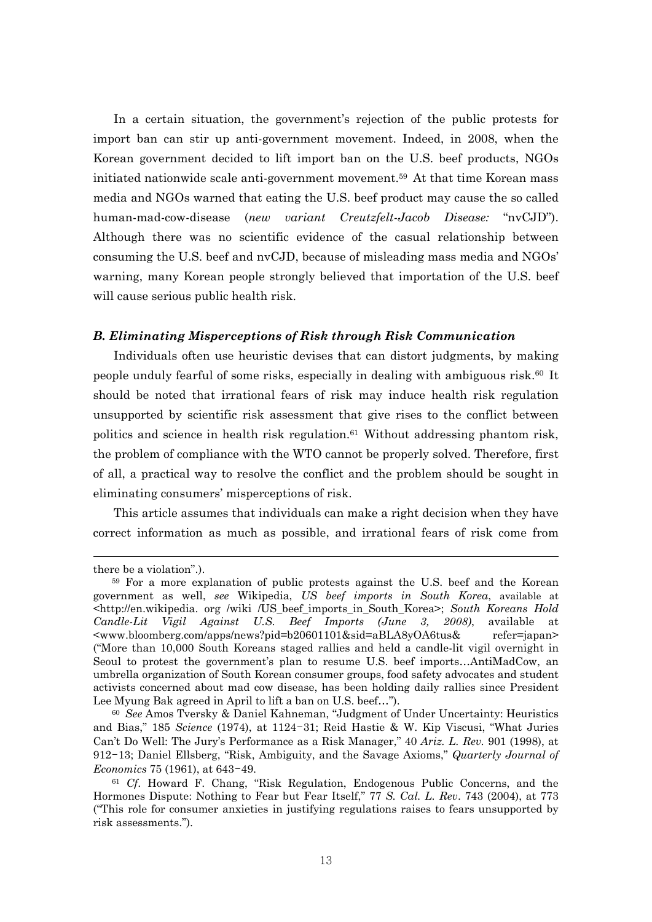In a certain situation, the government's rejection of the public protests for import ban can stir up anti-government movement. Indeed, in 2008, when the Korean government decided to lift import ban on the U.S. beef products, NGOs initiated nationwide scale anti-government movement.59 At that time Korean mass media and NGOs warned that eating the U.S. beef product may cause the so called human-mad-cow-disease (*new variant Creutzfelt-Jacob Disease:* "nvCJD"). Although there was no scientific evidence of the casual relationship between consuming the U.S. beef and nvCJD, because of misleading mass media and NGOs' warning, many Korean people strongly believed that importation of the U.S. beef will cause serious public health risk.

#### *B. Eliminating Misperceptions of Risk through Risk Communication*

Individuals often use heuristic devises that can distort judgments, by making people unduly fearful of some risks, especially in dealing with ambiguous risk.<sup>60</sup> It should be noted that irrational fears of risk may induce health risk regulation unsupported by scientific risk assessment that give rises to the conflict between politics and science in health risk regulation.61 Without addressing phantom risk, the problem of compliance with the WTO cannot be properly solved. Therefore, first of all, a practical way to resolve the conflict and the problem should be sought in eliminating consumers' misperceptions of risk.

This article assumes that individuals can make a right decision when they have correct information as much as possible, and irrational fears of risk come from

there be a violation".).

<sup>59</sup> For a more explanation of public protests against the U.S. beef and the Korean government as well, *see* Wikipedia, *US beef imports in South Korea*, available at <http://en.wikipedia. org /wiki /US\_beef\_imports\_in\_South\_Korea>; *South Koreans Hold Candle-Lit Vigil Against U.S. Beef Imports (June 3, 2008)*, available at <www.bloomberg.com/apps/news?pid=b20601101&sid=aBLA8yOA6tus& refer=japan> ("More than 10,000 South Koreans staged rallies and held a candle-lit vigil overnight in Seoul to protest the government's plan to resume U.S. beef imports…AntiMadCow, an umbrella organization of South Korean consumer groups, food safety advocates and student activists concerned about mad cow disease, has been holding daily rallies since President Lee Myung Bak agreed in April to lift a ban on U.S. beef…").

<sup>60</sup> *See* Amos Tversky & Daniel Kahneman, "Judgment of Under Uncertainty: Heuristics and Bias," 185 *Science* (1974), at 1124-31; Reid Hastie & W. Kip Viscusi, "What Juries Can't Do Well: The Jury's Performance as a Risk Manager," 40 *Ariz. L. Rev.* 901 (1998), at 912-13; Daniel Ellsberg, "Risk, Ambiguity, and the Savage Axioms," *Quarterly Journal of Economics* 75 (1961), at 643-49.

<sup>61</sup> *Cf*. Howard F. Chang, "Risk Regulation, Endogenous Public Concerns, and the Hormones Dispute: Nothing to Fear but Fear Itself," 77 *S. Cal. L. Rev*. 743 (2004), at 773 ("This role for consumer anxieties in justifying regulations raises to fears unsupported by risk assessments.").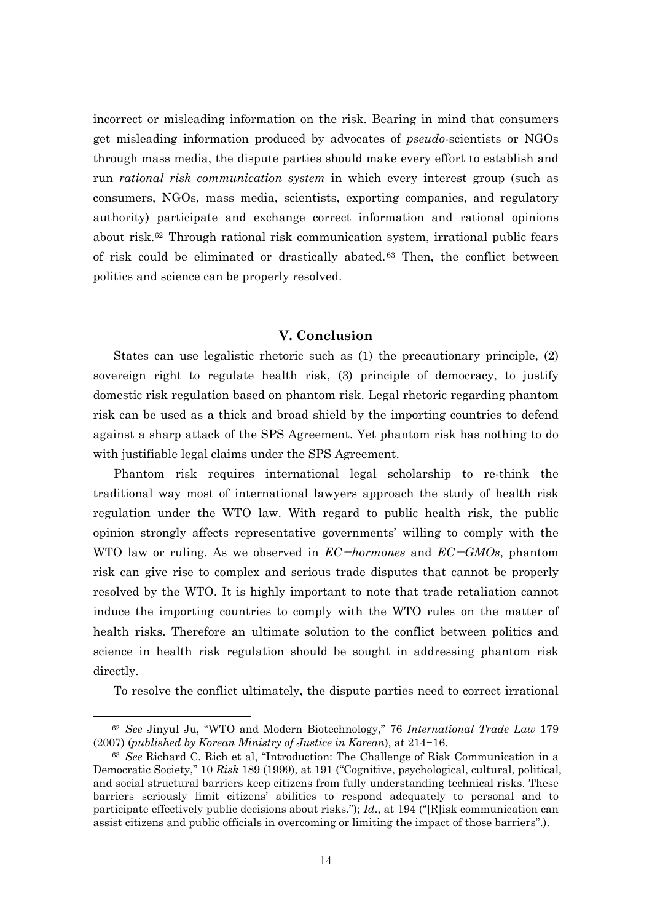incorrect or misleading information on the risk. Bearing in mind that consumers get misleading information produced by advocates of *pseudo*-scientists or NGOs through mass media, the dispute parties should make every effort to establish and run *rational risk communication system* in which every interest group (such as consumers, NGOs, mass media, scientists, exporting companies, and regulatory authority) participate and exchange correct information and rational opinions about risk.62 Through rational risk communication system, irrational public fears of risk could be eliminated or drastically abated. 63 Then, the conflict between politics and science can be properly resolved.

# **V. Conclusion**

States can use legalistic rhetoric such as (1) the precautionary principle, (2) sovereign right to regulate health risk, (3) principle of democracy, to justify domestic risk regulation based on phantom risk. Legal rhetoric regarding phantom risk can be used as a thick and broad shield by the importing countries to defend against a sharp attack of the SPS Agreement. Yet phantom risk has nothing to do with justifiable legal claims under the SPS Agreement.

Phantom risk requires international legal scholarship to re-think the traditional way most of international lawyers approach the study of health risk regulation under the WTO law. With regard to public health risk, the public opinion strongly affects representative governments' willing to comply with the WTO law or ruling. As we observed in *EC*−*hormones* and *EC*−*GMOs*, phantom risk can give rise to complex and serious trade disputes that cannot be properly resolved by the WTO. It is highly important to note that trade retaliation cannot induce the importing countries to comply with the WTO rules on the matter of health risks. Therefore an ultimate solution to the conflict between politics and science in health risk regulation should be sought in addressing phantom risk directly.

To resolve the conflict ultimately, the dispute parties need to correct irrational

<sup>62</sup> *See* Jinyul Ju, "WTO and Modern Biotechnology," 76 *International Trade Law* 179 (2007) (*published by Korean Ministry of Justice in Korean*), at 214-16.

<sup>63</sup> *See* Richard C. Rich et al, "Introduction: The Challenge of Risk Communication in a Democratic Society," 10 *Risk* 189 (1999), at 191 ("Cognitive, psychological, cultural, political, and social structural barriers keep citizens from fully understanding technical risks. These barriers seriously limit citizens' abilities to respond adequately to personal and to participate effectively public decisions about risks."); *Id*., at 194 ("[R]isk communication can assist citizens and public officials in overcoming or limiting the impact of those barriers".).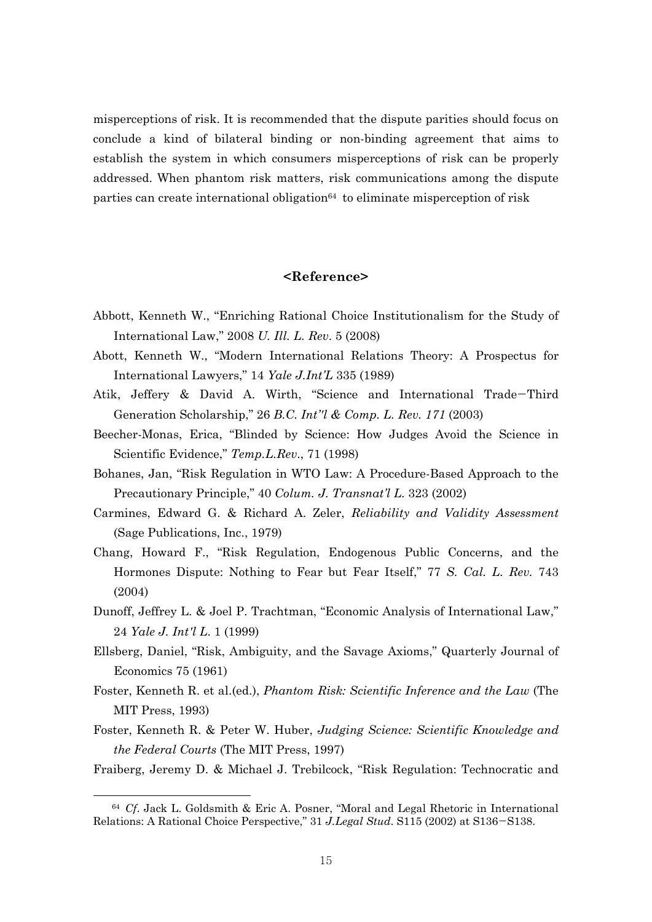misperceptions of risk. It is recommended that the dispute parities should focus on conclude a kind of bilateral binding or non-binding agreement that aims to establish the system in which consumers misperceptions of risk can be properly addressed. When phantom risk matters, risk communications among the dispute parties can create international obligation<sup>64</sup> to eliminate misperception of risk

## **<Reference>**

- Abbott, Kenneth W., "Enriching Rational Choice Institutionalism for the Study of International Law," 2008 *U. Ill. L. Rev*. 5 (2008)
- Abott, Kenneth W., "Modern International Relations Theory: A Prospectus for International Lawyers," 14 *Yale J.Int'L* 335 (1989)
- Atik, Jeffery & David A. Wirth, "Science and International Trade−Third Generation Scholarship," 26 *B.C. Int''l & Comp. L. Rev. 171* (2003)
- Beecher-Monas, Erica, "Blinded by Science: How Judges Avoid the Science in Scientific Evidence," *Temp.L.Rev*., 71 (1998)
- Bohanes, Jan, "Risk Regulation in WTO Law: A Procedure-Based Approach to the Precautionary Principle," 40 *Colum. J. Transnat'l L.* 323 (2002)
- Carmines, Edward G. & Richard A. Zeler, *Reliability and Validity Assessment* (Sage Publications, Inc., 1979)
- Chang, Howard F., "Risk Regulation, Endogenous Public Concerns, and the Hormones Dispute: Nothing to Fear but Fear Itself," 77 *S. Cal. L. Rev.* 743 (2004)
- Dunoff, Jeffrey L. & Joel P. Trachtman, "Economic Analysis of International Law," 24 *Yale J. Int'l L*. 1 (1999)
- Ellsberg, Daniel, "Risk, Ambiguity, and the Savage Axioms," Quarterly Journal of Economics 75 (1961)
- Foster, Kenneth R. et al.(ed.), *Phantom Risk: Scientific Inference and the Law* (The MIT Press, 1993)
- Foster, Kenneth R. & Peter W. Huber, *Judging Science: Scientific Knowledge and the Federal Courts* (The MIT Press, 1997)

Fraiberg, Jeremy D. & Michael J. Trebilcock, "Risk Regulation: Technocratic and

 $\overline{\phantom{a}}$ 

<sup>64</sup> *Cf*. Jack L. Goldsmith & Eric A. Posner, "Moral and Legal Rhetoric in International Relations: A Rational Choice Perspective," 31 *J.Legal Stud*. S115 (2002) at S136−S138.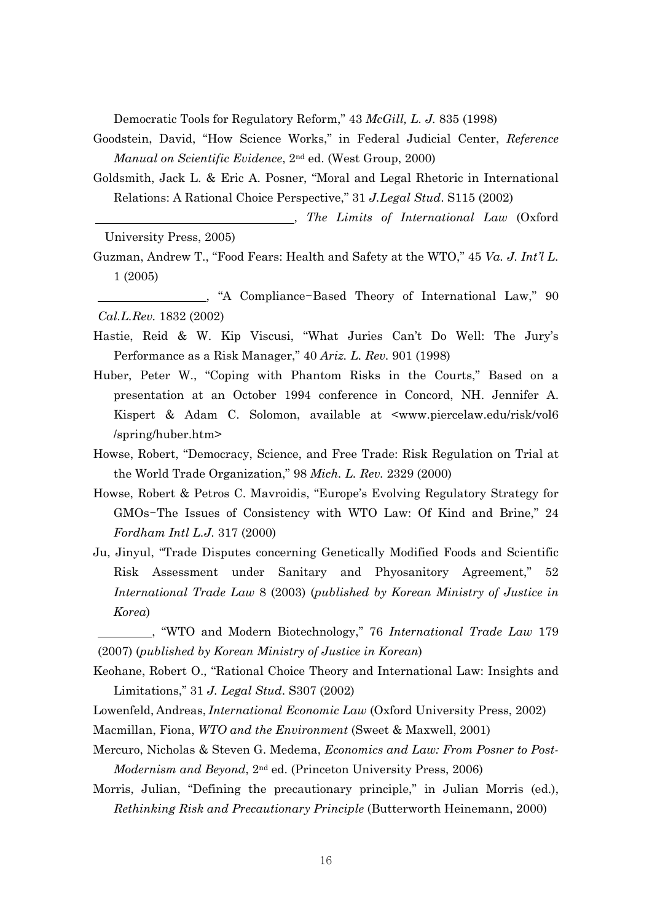Democratic Tools for Regulatory Reform," 43 *McGill, L. J.* 835 (1998)

- Goodstein, David, "How Science Works," in Federal Judicial Center, *Reference Manual on Scientific Evidence*, 2nd ed. (West Group, 2000)
- Goldsmith, Jack L. & Eric A. Posner, "Moral and Legal Rhetoric in International Relations: A Rational Choice Perspective," 31 *J.Legal Stud*. S115 (2002)
- , *The Limits of International Law* (Oxford University Press, 2005)
- Guzman, Andrew T., "Food Fears: Health and Safety at the WTO," 45 *Va. J. Int'l L.* 1 (2005)

 , "A Compliance-Based Theory of International Law," 90 *Cal.L.Rev.* 1832 (2002)

- Hastie, Reid & W. Kip Viscusi, "What Juries Can't Do Well: The Jury's Performance as a Risk Manager," 40 *Ariz. L. Rev.* 901 (1998)
- Huber, Peter W., "Coping with Phantom Risks in the Courts," Based on a presentation at an October 1994 conference in Concord, NH. Jennifer A. Kispert & Adam C. Solomon, available at <www.piercelaw.edu/risk/vol6 /spring/huber.htm>
- Howse, Robert, "Democracy, Science, and Free Trade: Risk Regulation on Trial at the World Trade Organization," 98 *Mich. L. Rev.* 2329 (2000)
- Howse, Robert & Petros C. Mavroidis, "Europe's Evolving Regulatory Strategy for GMOs-The Issues of Consistency with WTO Law: Of Kind and Brine," 24 *Fordham Intl L.J.* 317 (2000)
- Ju, Jinyul, "Trade Disputes concerning Genetically Modified Foods and Scientific Risk Assessment under Sanitary and Phyosanitory Agreement," 52 *International Trade Law* 8 (2003) (*published by Korean Ministry of Justice in Korea*)

 , "WTO and Modern Biotechnology," 76 *International Trade Law* 179 (2007) (*published by Korean Ministry of Justice in Korean*)

Keohane, Robert O., "Rational Choice Theory and International Law: Insights and Limitations," 31 *J. Legal Stud*. S307 (2002)

- Lowenfeld, Andreas, *International Economic Law* (Oxford University Press, 2002)
- Macmillan, Fiona, *WTO and the Environment* (Sweet & Maxwell, 2001)
- Mercuro, Nicholas & Steven G. Medema, *Economics and Law: From Posner to Post-Modernism and Beyond*, 2nd ed. (Princeton University Press, 2006)
- Morris, Julian, "Defining the precautionary principle," in Julian Morris (ed.), *Rethinking Risk and Precautionary Principle* (Butterworth Heinemann, 2000)